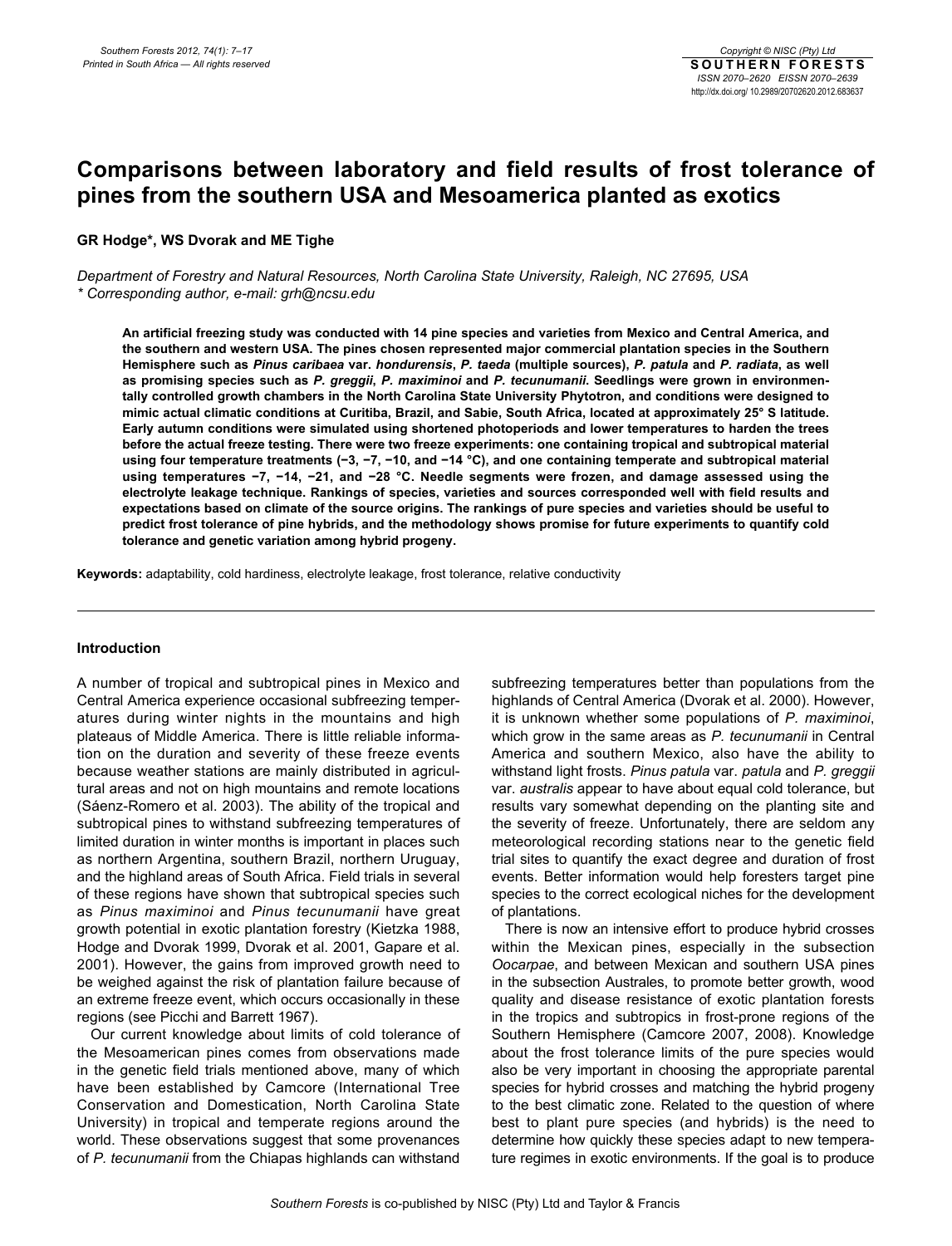# **Comparisons between laboratory and field results of frost tolerance of pines from the southern USA and Mesoamerica planted as exotics**

# **GR Hodge\*, WS Dvorak and ME Tighe**

*Department of Forestry and Natural Resources, North Carolina State University, Raleigh, NC 27695, USA \* Corresponding author, e-mail: grh@ncsu.edu*

**An artificial freezing study was conducted with 14 pine species and varieties from Mexico and Central America, and the southern and western USA. The pines chosen represented major commercial plantation species in the Southern Hemisphere such as** *Pinus caribaea* **var.** *hondurensis***,** *P. taeda* **(multiple sources),** *P. patula* **and** *P. radiata***, as well as promising species such as** *P. greggii***,** *P. maximinoi* **and** *P. tecunumanii***. Seedlings were grown in environmentally controlled growth chambers in the North Carolina State University Phytotron, and conditions were designed to mimic actual climatic conditions at Curitiba, Brazil, and Sabie, South Africa, located at approximately 25° S latitude. Early autumn conditions were simulated using shortened photoperiods and lower temperatures to harden the trees before the actual freeze testing. There were two freeze experiments: one containing tropical and subtropical material using four temperature treatments (−3, −7, −10, and −14 °C), and one containing temperate and subtropical material using temperatures −7, −14, −21, and −28 °C. Needle segments were frozen, and damage assessed using the electrolyte leakage technique. Rankings of species, varieties and sources corresponded well with field results and expectations based on climate of the source origins. The rankings of pure species and varieties should be useful to predict frost tolerance of pine hybrids, and the methodology shows promise for future experiments to quantify cold tolerance and genetic variation among hybrid progeny.**

**Keywords:** adaptability, cold hardiness, electrolyte leakage, frost tolerance, relative conductivity

# **Introduction**

A number of tropical and subtropical pines in Mexico and Central America experience occasional subfreezing temperatures during winter nights in the mountains and high plateaus of Middle America. There is little reliable information on the duration and severity of these freeze events because weather stations are mainly distributed in agricultural areas and not on high mountains and remote locations (Sáenz-Romero et al. 2003). The ability of the tropical and subtropical pines to withstand subfreezing temperatures of limited duration in winter months is important in places such as northern Argentina, southern Brazil, northern Uruguay, and the highland areas of South Africa. Field trials in several of these regions have shown that subtropical species such as *Pinus maximinoi* and *Pinus tecunumanii* have great growth potential in exotic plantation forestry (Kietzka 1988, Hodge and Dvorak 1999, Dvorak et al. 2001, Gapare et al. 2001). However, the gains from improved growth need to be weighed against the risk of plantation failure because of an extreme freeze event, which occurs occasionally in these regions (see Picchi and Barrett 1967).

Our current knowledge about limits of cold tolerance of the Mesoamerican pines comes from observations made in the genetic field trials mentioned above, many of which have been established by Camcore (International Tree Conservation and Domestication, North Carolina State University) in tropical and temperate regions around the world. These observations suggest that some provenances of *P. tecunumanii* from the Chiapas highlands can withstand

subfreezing temperatures better than populations from the highlands of Central America (Dvorak et al. 2000). However, it is unknown whether some populations of *P. maximinoi*, which grow in the same areas as *P. tecunumanii* in Central America and southern Mexico, also have the ability to withstand light frosts. *Pinus patula* var. *patula* and *P. greggii* var. *australis* appear to have about equal cold tolerance, but results vary somewhat depending on the planting site and the severity of freeze. Unfortunately, there are seldom any meteorological recording stations near to the genetic field trial sites to quantify the exact degree and duration of frost events. Better information would help foresters target pine species to the correct ecological niches for the development of plantations.

There is now an intensive effort to produce hybrid crosses within the Mexican pines, especially in the subsection *Oocarpae*, and between Mexican and southern USA pines in the subsection Australes, to promote better growth, wood quality and disease resistance of exotic plantation forests in the tropics and subtropics in frost-prone regions of the Southern Hemisphere (Camcore 2007, 2008). Knowledge about the frost tolerance limits of the pure species would also be very important in choosing the appropriate parental species for hybrid crosses and matching the hybrid progeny to the best climatic zone. Related to the question of where best to plant pure species (and hybrids) is the need to determine how quickly these species adapt to new temperature regimes in exotic environments. If the goal is to produce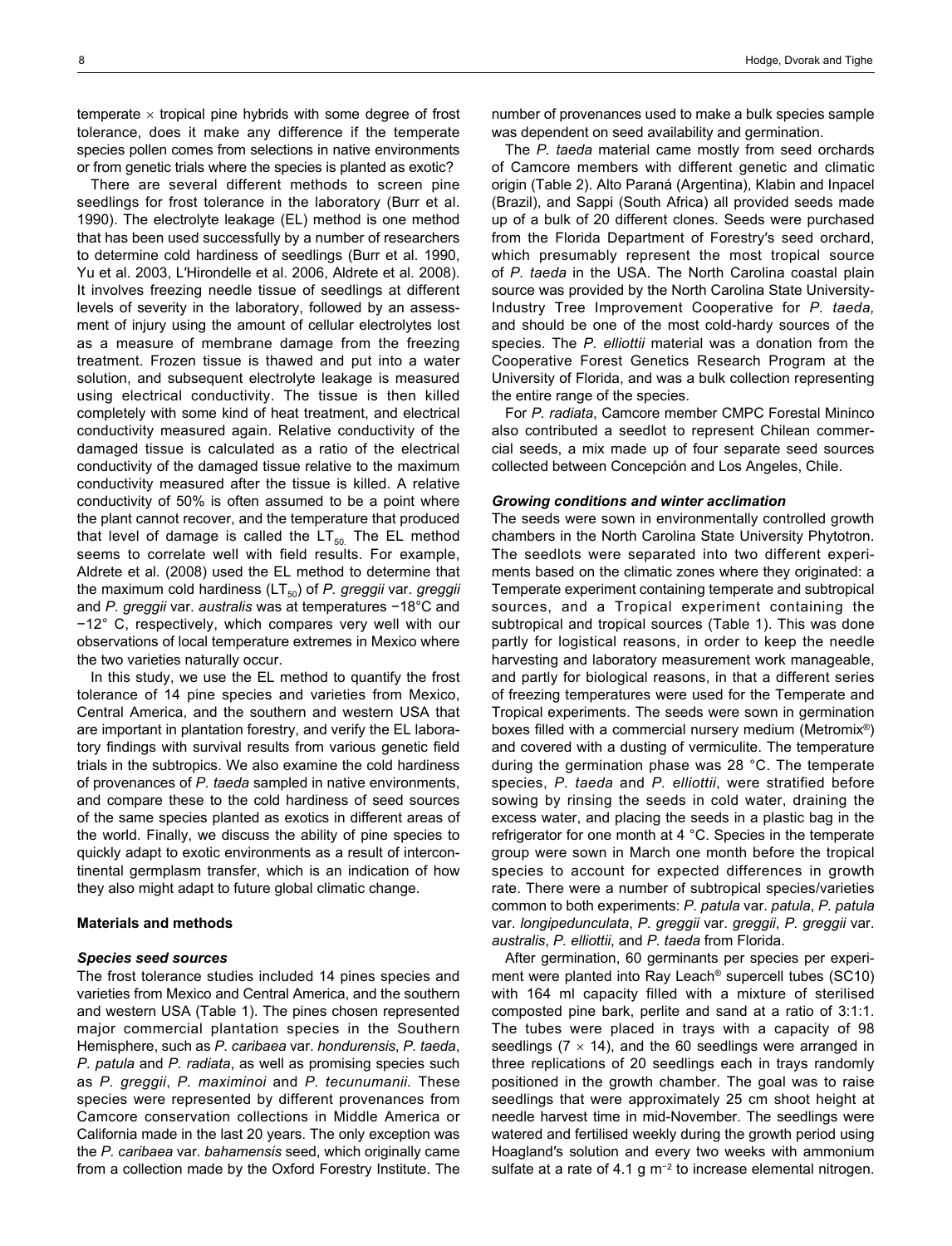temperate  $\times$  tropical pine hybrids with some degree of frost tolerance, does it make any difference if the temperate species pollen comes from selections in native environments or from genetic trials where the species is planted as exotic?

There are several different methods to screen pine seedlings for frost tolerance in the laboratory (Burr et al. 1990). The electrolyte leakage (EL) method is one method that has been used successfully by a number of researchers to determine cold hardiness of seedlings (Burr et al. 1990, Yu et al. 2003, L′Hirondelle et al. 2006, Aldrete et al. 2008). It involves freezing needle tissue of seedlings at different levels of severity in the laboratory, followed by an assessment of injury using the amount of cellular electrolytes lost as a measure of membrane damage from the freezing treatment. Frozen tissue is thawed and put into a water solution, and subsequent electrolyte leakage is measured using electrical conductivity. The tissue is then killed completely with some kind of heat treatment, and electrical conductivity measured again. Relative conductivity of the damaged tissue is calculated as a ratio of the electrical conductivity of the damaged tissue relative to the maximum conductivity measured after the tissue is killed. A relative conductivity of 50% is often assumed to be a point where the plant cannot recover, and the temperature that produced that level of damage is called the  $LT_{50}$ . The EL method seems to correlate well with field results. For example, Aldrete et al. (2008) used the EL method to determine that the maximum cold hardiness (LT<sub>50</sub>) of *P. greggii* var. *greggii* and *P. greggii* var. *australis* was at temperatures −18°C and −12° C, respectively, which compares very well with our observations of local temperature extremes in Mexico where the two varieties naturally occur.

In this study, we use the EL method to quantify the frost tolerance of 14 pine species and varieties from Mexico, Central America, and the southern and western USA that are important in plantation forestry, and verify the EL laboratory findings with survival results from various genetic field trials in the subtropics. We also examine the cold hardiness of provenances of *P. taeda* sampled in native environments, and compare these to the cold hardiness of seed sources of the same species planted as exotics in different areas of the world. Finally, we discuss the ability of pine species to quickly adapt to exotic environments as a result of intercontinental germplasm transfer, which is an indication of how they also might adapt to future global climatic change.

## **Materials and methods**

#### *Species seed sources*

The frost tolerance studies included 14 pines species and varieties from Mexico and Central America, and the southern and western USA (Table 1). The pines chosen represented major commercial plantation species in the Southern Hemisphere, such as *P. caribaea* var. *hondurensis*, *P. taeda*, *P. patula* and *P. radiata*, as well as promising species such as *P. greggii*, *P. maximinoi* and *P. tecunumanii.* These species were represented by different provenances from Camcore conservation collections in Middle America or California made in the last 20 years. The only exception was the *P. caribaea* var. *bahamensis* seed, which originally came from a collection made by the Oxford Forestry Institute. The

number of provenances used to make a bulk species sample was dependent on seed availability and germination.

The *P. taeda* material came mostly from seed orchards of Camcore members with different genetic and climatic origin (Table 2). Alto Paraná (Argentina), Klabin and Inpacel (Brazil), and Sappi (South Africa) all provided seeds made up of a bulk of 20 different clones. Seeds were purchased from the Florida Department of Forestry′s seed orchard, which presumably represent the most tropical source of *P. taeda* in the USA. The North Carolina coastal plain source was provided by the North Carolina State University-Industry Tree Improvement Cooperative for *P. taeda,*  and should be one of the most cold-hardy sources of the species. The *P. elliottii* material was a donation from the Cooperative Forest Genetics Research Program at the University of Florida, and was a bulk collection representing the entire range of the species.

For *P. radiata*, Camcore member CMPC Forestal Mininco also contributed a seedlot to represent Chilean commercial seeds, a mix made up of four separate seed sources collected between Concepción and Los Angeles, Chile.

#### *Growing conditions and winter acclimation*

The seeds were sown in environmentally controlled growth chambers in the North Carolina State University Phytotron. The seedlots were separated into two different experiments based on the climatic zones where they originated: a Temperate experiment containing temperate and subtropical sources, and a Tropical experiment containing the subtropical and tropical sources (Table 1). This was done partly for logistical reasons, in order to keep the needle harvesting and laboratory measurement work manageable, and partly for biological reasons, in that a different series of freezing temperatures were used for the Temperate and Tropical experiments. The seeds were sown in germination boxes filled with a commercial nursery medium (Metromix®) and covered with a dusting of vermiculite. The temperature during the germination phase was 28 °C. The temperate species, *P. taeda* and *P. elliottii*, were stratified before sowing by rinsing the seeds in cold water, draining the excess water, and placing the seeds in a plastic bag in the refrigerator for one month at 4 °C. Species in the temperate group were sown in March one month before the tropical species to account for expected differences in growth rate. There were a number of subtropical species/varieties common to both experiments: *P. patula* var. *patula*, *P. patula* var. *longipedunculata*, *P. greggii* var. *greggii*, *P. greggii* var. *australis*, *P. elliottii*, and *P. taeda* from Florida.

After germination, 60 germinants per species per experiment were planted into Ray Leach® supercell tubes (SC10) with 164 ml capacity filled with a mixture of sterilised composted pine bark, perlite and sand at a ratio of 3:1:1. The tubes were placed in trays with a capacity of 98 seedlings ( $7 \times 14$ ), and the 60 seedlings were arranged in three replications of 20 seedlings each in trays randomly positioned in the growth chamber. The goal was to raise seedlings that were approximately 25 cm shoot height at needle harvest time in mid-November. The seedlings were watered and fertilised weekly during the growth period using Hoagland′s solution and every two weeks with ammonium sulfate at a rate of 4.1 g m<sup>-2</sup> to increase elemental nitrogen.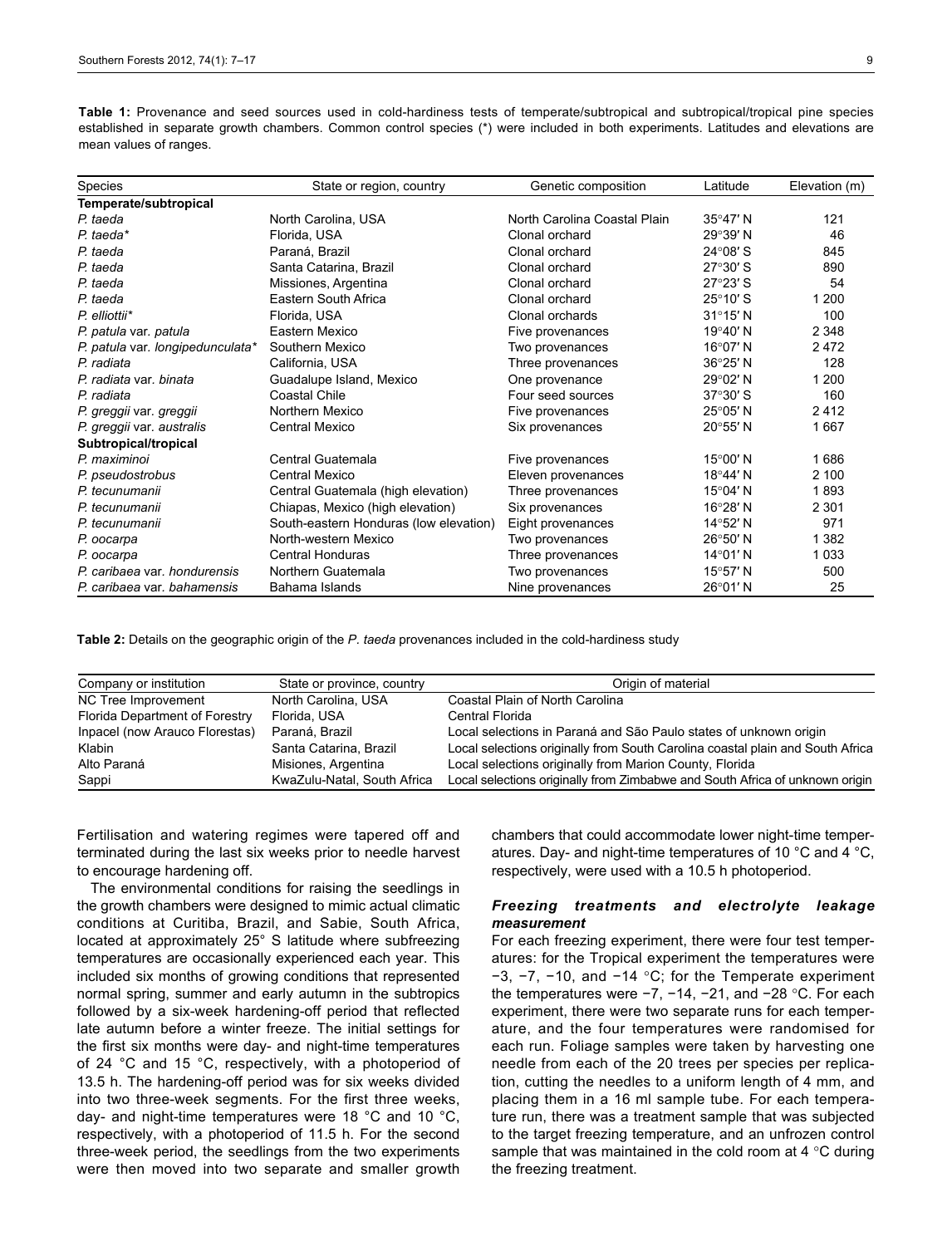**Table 1:** Provenance and seed sources used in cold-hardiness tests of temperate/subtropical and subtropical/tropical pine species established in separate growth chambers. Common control species (\*) were included in both experiments. Latitudes and elevations are mean values of ranges.

| Species                                            | State or region, country               | Genetic composition          | Latitude            | Elevation (m) |
|----------------------------------------------------|----------------------------------------|------------------------------|---------------------|---------------|
| Temperate/subtropical                              |                                        |                              |                     |               |
| P. taeda                                           | North Carolina, USA                    | North Carolina Coastal Plain | $35^{\circ}47'$ N   | 121           |
| P. taeda*                                          | Florida, USA                           | Clonal orchard               | 29°39' N            | 46            |
| P. taeda                                           | Paraná, Brazil                         | Clonal orchard               | $24^{\circ}08'$ S   | 845           |
| P. taeda                                           | Santa Catarina, Brazil                 | Clonal orchard               | $27°30'$ S          | 890           |
| P. taeda                                           | Missiones, Argentina                   | Clonal orchard               | $27°23'$ S          | 54            |
| P. taeda                                           | Eastern South Africa                   | Clonal orchard               | $25^{\circ}10'$ S   | 1 200         |
| P. elliottii*                                      | Florida, USA                           | Clonal orchards              | $31^{\circ}15'$ N   | 100           |
| P. patula var. patula                              | Eastern Mexico                         | Five provenances             | 19 $^{\circ}$ 40' N | 2 3 4 8       |
| P. patula var. longipedunculata*                   | Southern Mexico                        | Two provenances              | $16^{\circ}07'$ N   | 2472          |
| P. radiata                                         | California, USA                        | Three provenances            | $36°25'$ N          | 128           |
| P. radiata var. binata                             | Guadalupe Island, Mexico               | One provenance               | $29^{\circ}02'$ N   | 1 200         |
| P. radiata                                         | <b>Coastal Chile</b>                   | Four seed sources            | $37°30'$ S          | 160           |
| P. greggii var. greggii                            | Northern Mexico                        | Five provenances             | $25^{\circ}05'$ N   | 2412          |
| <b>Central Mexico</b><br>P. greggii var. australis |                                        | Six provenances              | $20^{\circ}55'$ N   | 1667          |
| Subtropical/tropical                               |                                        |                              |                     |               |
| P. maximinoi                                       | Central Guatemala                      | Five provenances             | $15^{\circ}00'$ N   | 1686          |
| P. pseudostrobus                                   | Central Mexico                         | Eleven provenances           | 18°44' N            | 2 100         |
| P. tecunumanii                                     | Central Guatemala (high elevation)     | Three provenances            | $15^{\circ}04'$ N   | 1893          |
| P. tecunumanii                                     | Chiapas, Mexico (high elevation)       | Six provenances              | 16°28'N             | 2 3 0 1       |
| P. tecunumanii                                     | South-eastern Honduras (low elevation) | Eight provenances            | 14°52'N             | 971           |
| P. oocarpa                                         | North-western Mexico                   | Two provenances              | $26°50'$ N          | 1 3 8 2       |
| P. oocarpa                                         | Central Honduras                       | Three provenances            | 14°01'N             | 1 0 3 3       |
| P. caribaea var. hondurensis                       | Northern Guatemala                     | Two provenances              | 15°57' N            | 500           |
| P. caribaea var. bahamensis                        | Bahama Islands                         | Nine provenances             | $26^{\circ}01'$ N   | 25            |

**Table 2:** Details on the geographic origin of the *P. taeda* provenances included in the cold-hardiness study

| Company or institution         | State or province, country  | Origin of material                                                             |
|--------------------------------|-----------------------------|--------------------------------------------------------------------------------|
| NC Tree Improvement            | North Carolina, USA         | Coastal Plain of North Carolina                                                |
| Florida Department of Forestry | Florida, USA                | Central Florida                                                                |
| Inpacel (now Arauco Florestas) | Paraná, Brazil              | Local selections in Paraná and São Paulo states of unknown origin              |
| Klabin                         | Santa Catarina, Brazil      | Local selections originally from South Carolina coastal plain and South Africa |
| Alto Paraná                    | Misiones, Argentina         | Local selections originally from Marion County, Florida                        |
| Sappi                          | KwaZulu-Natal, South Africa | Local selections originally from Zimbabwe and South Africa of unknown origin   |

Fertilisation and watering regimes were tapered off and terminated during the last six weeks prior to needle harvest to encourage hardening off.

The environmental conditions for raising the seedlings in the growth chambers were designed to mimic actual climatic conditions at Curitiba, Brazil, and Sabie, South Africa, located at approximately 25° S latitude where subfreezing temperatures are occasionally experienced each year. This included six months of growing conditions that represented normal spring, summer and early autumn in the subtropics followed by a six-week hardening-off period that reflected late autumn before a winter freeze. The initial settings for the first six months were day- and night-time temperatures of 24 °C and 15 °C, respectively, with a photoperiod of 13.5 h. The hardening-off period was for six weeks divided into two three-week segments. For the first three weeks, day- and night-time temperatures were 18 °C and 10 °C, respectively, with a photoperiod of 11.5 h. For the second three-week period, the seedlings from the two experiments were then moved into two separate and smaller growth

chambers that could accommodate lower night-time temperatures. Day- and night-time temperatures of 10 °C and 4 °C, respectively, were used with a 10.5 h photoperiod.

# *Freezing treatments and electrolyte leakage measurement*

For each freezing experiment, there were four test temperatures: for the Tropical experiment the temperatures were −3, −7, −10, and −14 °C; for the Temperate experiment the temperatures were −7, −14, −21, and −28 °C. For each experiment, there were two separate runs for each temperature, and the four temperatures were randomised for each run. Foliage samples were taken by harvesting one needle from each of the 20 trees per species per replication, cutting the needles to a uniform length of 4 mm, and placing them in a 16 ml sample tube. For each temperature run, there was a treatment sample that was subjected to the target freezing temperature, and an unfrozen control sample that was maintained in the cold room at 4 °C during the freezing treatment.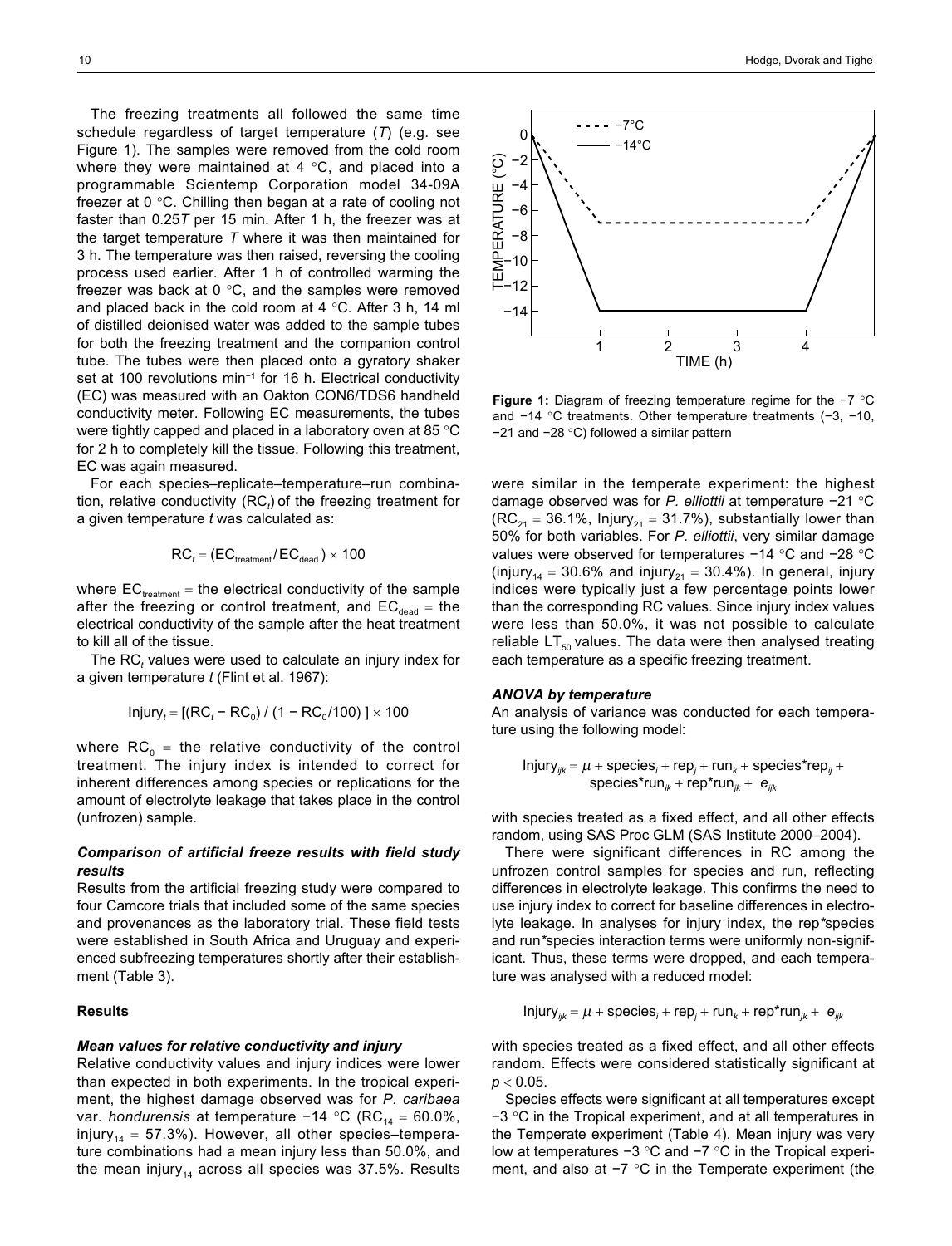The freezing treatments all followed the same time schedule regardless of target temperature (*T*) (e.g. see Figure 1). The samples were removed from the cold room where they were maintained at 4 °C, and placed into a programmable Scientemp Corporation model 34-09A freezer at 0 °C. Chilling then began at a rate of cooling not faster than 0.25*T* per 15 min. After 1 h, the freezer was at the target temperature *T* where it was then maintained for 3 h. The temperature was then raised, reversing the cooling process used earlier. After 1 h of controlled warming the freezer was back at 0 °C, and the samples were removed and placed back in the cold room at 4 °C. After 3 h, 14 ml of distilled deionised water was added to the sample tubes for both the freezing treatment and the companion control tube. The tubes were then placed onto a gyratory shaker set at 100 revolutions min<sup>-1</sup> for 16 h. Electrical conductivity (EC) was measured with an Oakton CON6/TDS6 handheld conductivity meter. Following EC measurements, the tubes were tightly capped and placed in a laboratory oven at 85 °C for 2 h to completely kill the tissue. Following this treatment, EC was again measured.

For each species–replicate–temperature–run combination, relative conductivity (RC<sub>t</sub>) of the freezing treatment for a given temperature *t* was calculated as:

$$
RC_t = (EC_{\text{treatment}}/EC_{\text{dead}}) \times 100
$$

where  $EC_{treatment}$  = the electrical conductivity of the sample after the freezing or control treatment, and  $EC_{dead}$  = the electrical conductivity of the sample after the heat treatment to kill all of the tissue.

The RC<sub>t</sub> values were used to calculate an injury index for a given temperature *t* (Flint et al. 1967):

Injury*<sup>t</sup>* = [(RC*<sup>t</sup>* − RC0) / (1 − RC0 /100) ] × 100

where  $RC_0 =$  the relative conductivity of the control treatment. The injury index is intended to correct for inherent differences among species or replications for the amount of electrolyte leakage that takes place in the control (unfrozen) sample.

# *Comparison of artificial freeze results with field study results*

Results from the artificial freezing study were compared to four Camcore trials that included some of the same species and provenances as the laboratory trial. These field tests were established in South Africa and Uruguay and experienced subfreezing temperatures shortly after their establishment (Table 3).

# **Results**

## *Mean values for relative conductivity and injury*

Relative conductivity values and injury indices were lower than expected in both experiments. In the tropical experiment, the highest damage observed was for *P. caribaea* var. *hondurensis* at temperature −14 °C (RC<sub>14</sub> = 60.0%, injury<sub>14</sub> = 57.3%). However, all other species–temperature combinations had a mean injury less than 50.0%, and the mean injury<sub>14</sub> across all species was 37.5%. Results



**Figure 1:** Diagram of freezing temperature regime for the −7 °C and −14 °C treatments. Other temperature treatments (−3, −10, −21 and −28 °C) followed a similar pattern

were similar in the temperate experiment: the highest damage observed was for *P. elliottii* at temperature −21 °C  $(RC<sub>21</sub> = 36.1\%$ , Injury<sub>21</sub> = 31.7%), substantially lower than 50% for both variables. For *P. elliottii*, very similar damage values were observed for temperatures −14 °C and −28 °C (injury<sub>14</sub> = 30.6% and injury<sub>21</sub> = 30.4%). In general, injury indices were typically just a few percentage points lower than the corresponding RC values. Since injury index values were less than 50.0%, it was not possible to calculate reliable  $LT_{50}$  values. The data were then analysed treating each temperature as a specific freezing treatment.

#### *ANOVA by temperature*

An analysis of variance was conducted for each temperature using the following model:

Injury<sub>ijk</sub> = 
$$
\mu
$$
 + species<sub>i</sub> + rep<sub>j</sub> + run<sub>k</sub> + species\*rep<sub>ij</sub> +  
species\*run<sub>ik</sub> + rep\*run<sub>jk</sub> + e<sub>ijk</sub>

with species treated as a fixed effect, and all other effects random, using SAS Proc GLM (SAS Institute 2000–2004).

There were significant differences in RC among the unfrozen control samples for species and run, reflecting differences in electrolyte leakage. This confirms the need to use injury index to correct for baseline differences in electrolyte leakage. In analyses for injury index, the rep*\**species and run*\**species interaction terms were uniformly non-significant. Thus, these terms were dropped, and each temperature was analysed with a reduced model:

Injury<sub>ijk</sub> = 
$$
\mu
$$
 + species<sub>i</sub> + rep<sub>j</sub> + run<sub>k</sub> + rep<sup>\*</sup>run<sub>jk</sub> + e<sub>ijk</sub>

with species treated as a fixed effect, and all other effects random. Effects were considered statistically significant at *p* < 0.05.

Species effects were significant at all temperatures except −3 °C in the Tropical experiment, and at all temperatures in the Temperate experiment (Table 4). Mean injury was very low at temperatures −3 °C and −7 °C in the Tropical experiment, and also at −7 °C in the Temperate experiment (the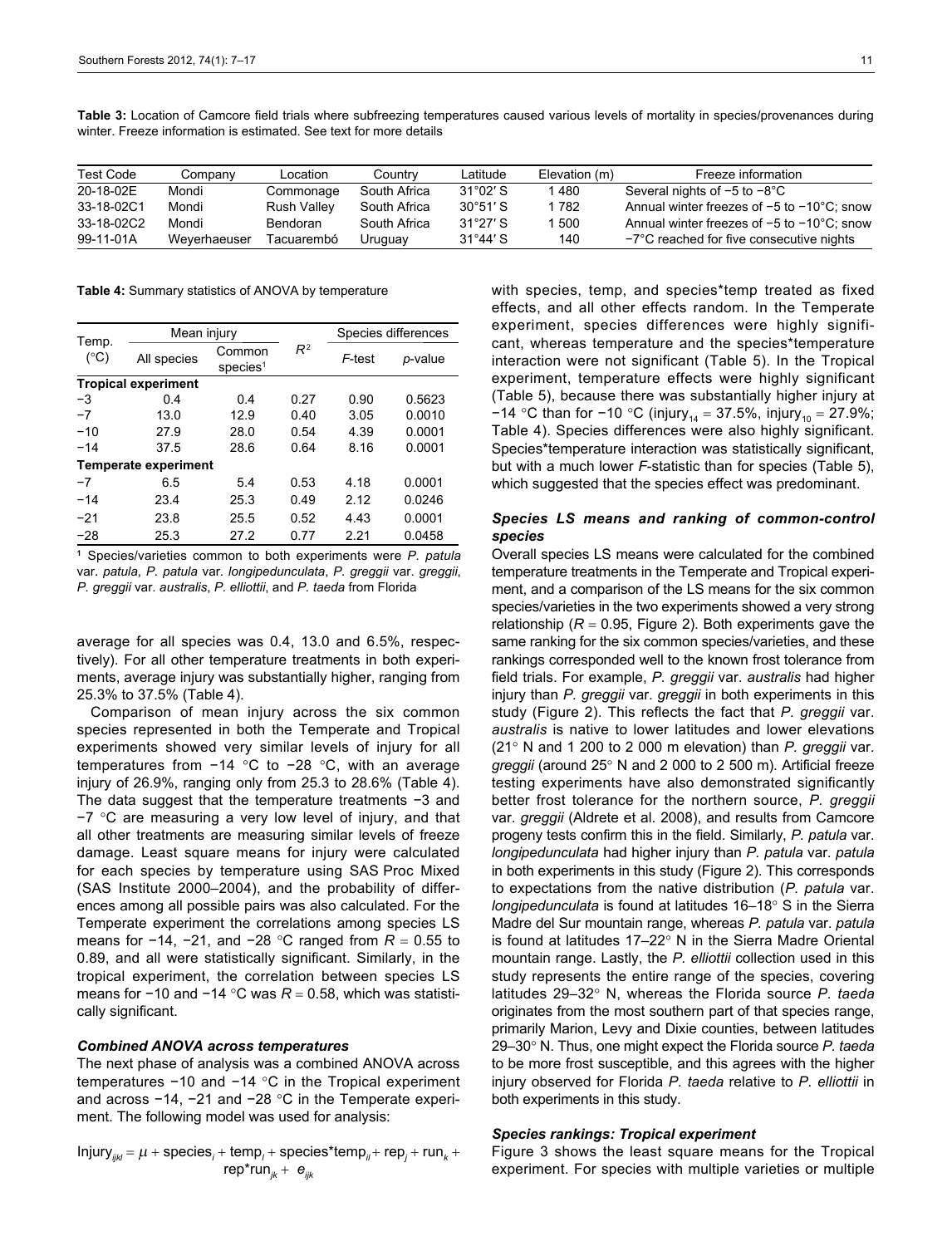**Table 3:** Location of Camcore field trials where subfreezing temperatures caused various levels of mortality in species/provenances during winter. Freeze information is estimated. See text for more details

| Test Code  | Company      | Location           | Country      | Latitude          | Elevation $(m)$ | Freeze information                                     |
|------------|--------------|--------------------|--------------|-------------------|-----------------|--------------------------------------------------------|
| 20-18-02E  | Mondi        | Commonage          | South Africa | $31^{\circ}02'$ S | 1 480           | Several nights of $-5$ to $-8^{\circ}$ C               |
| 33-18-02C1 | Mondi        | <b>Rush Valley</b> | South Africa | $30^{\circ}51'$ S | 1 782           | Annual winter freezes of $-5$ to $-10^{\circ}$ C; snow |
| 33-18-02C2 | Mondi        | Bendoran           | South Africa | $31°27'$ S        | -500            | Annual winter freezes of $-5$ to $-10^{\circ}$ C; snow |
| 99-11-01A  | Weverhaeuser | Tacuarembó         | Uruguay      | $31^{\circ}44'$ S | 140             | $-7^{\circ}$ C reached for five consecutive nights     |

**Table 4:** Summary statistics of ANOVA by temperature

| Temp.<br>(°C)              | Mean injury                 |                                | Species differences |        |         |  |  |  |  |
|----------------------------|-----------------------------|--------------------------------|---------------------|--------|---------|--|--|--|--|
|                            | All species                 | Common<br>species <sup>1</sup> | $R^2$               | F-test | p-value |  |  |  |  |
| <b>Tropical experiment</b> |                             |                                |                     |        |         |  |  |  |  |
| $-3$                       | 04                          | 0.4                            | 0.27                | 0.90   | 0.5623  |  |  |  |  |
| $-7$                       | 13.0                        | 12.9                           | 0.40                | 3.05   | 0.0010  |  |  |  |  |
| $-10$                      | 27.9                        | 28.0                           | 0.54                | 4.39   | 0.0001  |  |  |  |  |
| $-14$                      | 37.5                        | 28.6                           | 0.64                | 8.16   | 0.0001  |  |  |  |  |
|                            | <b>Temperate experiment</b> |                                |                     |        |         |  |  |  |  |
| $-7$                       | 6.5                         | 5.4                            | 0.53                | 4.18   | 0.0001  |  |  |  |  |
| $-14$                      | 23.4                        | 25.3                           | 0.49                | 2.12   | 0.0246  |  |  |  |  |
| $-21$                      | 23.8                        | 25.5                           | 0.52                | 4.43   | 0.0001  |  |  |  |  |
| $-28$                      | 25.3                        | 27.2                           | 0.77                | 2.21   | 0.0458  |  |  |  |  |

**<sup>1</sup>** Species/varieties common to both experiments were *P. patula* var. *patula*, *P. patula* var. *longipedunculata*, *P. greggii* var. *greggii*, *P. greggii* var. *australis*, *P. elliottii*, and *P. taeda* from Florida

average for all species was 0.4, 13.0 and 6.5%, respectively). For all other temperature treatments in both experiments, average injury was substantially higher, ranging from 25.3% to 37.5% (Table 4).

Comparison of mean injury across the six common species represented in both the Temperate and Tropical experiments showed very similar levels of injury for all temperatures from −14 °C to −28 °C, with an average injury of 26.9%, ranging only from 25.3 to 28.6% (Table 4). The data suggest that the temperature treatments −3 and −7 °C are measuring a very low level of injury, and that all other treatments are measuring similar levels of freeze damage. Least square means for injury were calculated for each species by temperature using SAS Proc Mixed (SAS Institute 2000–2004), and the probability of differences among all possible pairs was also calculated. For the Temperate experiment the correlations among species LS means for −14, −21, and −28 °C ranged from *R* = 0.55 to 0.89, and all were statistically significant. Similarly, in the tropical experiment, the correlation between species LS means for −10 and −14 °C was  $R = 0.58$ , which was statistically significant.

## *Combined ANOVA across temperatures*

The next phase of analysis was a combined ANOVA across temperatures −10 and −14 °C in the Tropical experiment and across −14, −21 and −28 °C in the Temperate experiment. The following model was used for analysis:

Injury<sub>ijkl</sub> = 
$$
\mu
$$
 + species<sub>i</sub> + temp<sub>l</sub> + species<sup>\*</sup>temp<sub>il</sub> + rep<sub>j</sub> + run<sub>k</sub> +  
rep<sup>\*</sup>run<sub>jk</sub> + e<sub>ijk</sub>

with species, temp, and species\*temp treated as fixed effects, and all other effects random. In the Temperate experiment, species differences were highly significant, whereas temperature and the species\*temperature interaction were not significant (Table 5). In the Tropical experiment, temperature effects were highly significant (Table 5), because there was substantially higher injury at −14 °C than for −10 °C (injury<sub>14</sub> = 37.5%, injury<sub>10</sub> = 27.9%; Table 4). Species differences were also highly significant. Species\*temperature interaction was statistically significant, but with a much lower *F*-statistic than for species (Table 5), which suggested that the species effect was predominant.

# *Species LS means and ranking of common-control species*

Overall species LS means were calculated for the combined temperature treatments in the Temperate and Tropical experiment, and a comparison of the LS means for the six common species/varieties in the two experiments showed a very strong relationship ( $R = 0.95$ , Figure 2). Both experiments gave the same ranking for the six common species/varieties, and these rankings corresponded well to the known frost tolerance from field trials. For example, *P. greggii* var. *australis* had higher injury than *P. greggii* var. *greggii* in both experiments in this study (Figure 2). This reflects the fact that *P. greggii* var. *australis* is native to lower latitudes and lower elevations (21° N and 1 200 to 2 000 m elevation) than *P. greggii* var. *greggii* (around 25° N and 2 000 to 2 500 m). Artificial freeze testing experiments have also demonstrated significantly better frost tolerance for the northern source, *P. greggii* var. *greggii* (Aldrete et al. 2008), and results from Camcore progeny tests confirm this in the field. Similarly, *P. patula* var. *longipedunculata* had higher injury than *P. patula* var. *patula* in both experiments in this study (Figure 2). This corresponds to expectations from the native distribution (*P. patula* var. *longipedunculata* is found at latitudes 16–18° S in the Sierra Madre del Sur mountain range, whereas *P. patula* var. *patula* is found at latitudes 17–22° Ν in the Sierra Madre Oriental mountain range. Lastly, the *P. elliottii* collection used in this study represents the entire range of the species, covering latitudes 29–32° N, whereas the Florida source *P. taeda* originates from the most southern part of that species range, primarily Marion, Levy and Dixie counties, between latitudes 29–30° N. Thus, one might expect the Florida source *P. taeda* to be more frost susceptible, and this agrees with the higher injury observed for Florida *P. taeda* relative to *P. elliottii* in both experiments in this study.

## *Species rankings: Tropical experiment*

Figure 3 shows the least square means for the Tropical experiment. For species with multiple varieties or multiple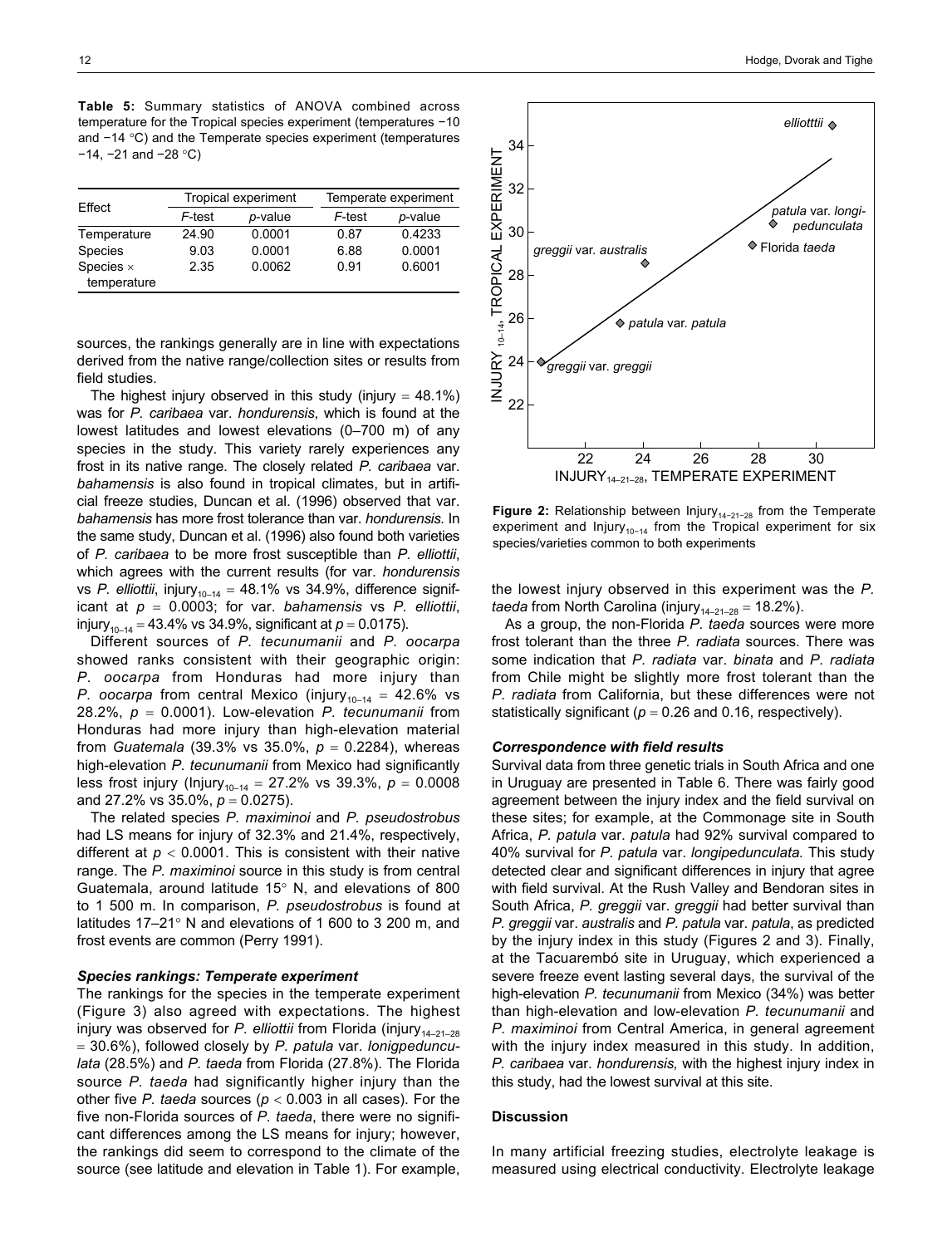**Table 5:** Summary statistics of ANOVA combined across temperature for the Tropical species experiment (temperatures −10 and −14 °C) and the Temperate species experiment (temperatures −14, −21 and −28 °C)

| Effect           |        | Tropical experiment |        | Temperate experiment |  |  |
|------------------|--------|---------------------|--------|----------------------|--|--|
|                  | F-test | p-value             | F-test | p-value              |  |  |
| Temperature      | 24.90  | 0.0001              | 0.87   | 0.4233               |  |  |
| Species          | 9.03   | 0.0001              | 6.88   | 0.0001               |  |  |
| Species $\times$ | 2.35   | 0.0062              | 0.91   | 0.6001               |  |  |
| temperature      |        |                     |        |                      |  |  |

sources, the rankings generally are in line with expectations derived from the native range/collection sites or results from field studies.

The highest injury observed in this study (injury  $= 48.1\%$ ) was for *P. caribaea* var. *hondurensis*, which is found at the lowest latitudes and lowest elevations (0–700 m) of any species in the study. This variety rarely experiences any frost in its native range. The closely related *P. caribaea* var. *bahamensis* is also found in tropical climates, but in artificial freeze studies, Duncan et al. (1996) observed that var. *bahamensis* has more frost tolerance than var. *hondurensis.* In the same study, Duncan et al. (1996) also found both varieties of *P. caribaea* to be more frost susceptible than *P. elliottii*, which agrees with the current results (for var. *hondurensis* vs *P. elliottii*, injury<sub>10–14</sub> = 48.1% vs 34.9%, difference significant at *p* = 0.0003; for var. *bahamensis* vs *P. elliottii*, injury<sub>10–14</sub> = 43.4% vs 34.9%, significant at  $p = 0.0175$ ).

Different sources of *P. tecunumanii* and *P. oocarpa* showed ranks consistent with their geographic origin: *P. oocarpa* from Honduras had more injury than *P. oocarpa* from central Mexico (injury<sub>10-14</sub> = 42.6% vs 28.2%, *p* = 0.0001). Low-elevation *P. tecunumanii* from Honduras had more injury than high-elevation material from *Guatemala* (39.3% vs 35.0%, *p* = 0.2284), whereas high-elevation *P. tecunumanii* from Mexico had significantly less frost injury (Injury<sub>10–14</sub> = 27.2% vs 39.3%,  $p = 0.0008$ and 27.2% vs 35.0%, *p* = 0.0275).

The related species *P. maximinoi* and *P. pseudostrobus* had LS means for injury of 32.3% and 21.4%, respectively, different at  $p < 0.0001$ . This is consistent with their native range. The *P. maximinoi* source in this study is from central Guatemala, around latitude 15° N, and elevations of 800 to 1 500 m. In comparison, *P. pseudostrobus* is found at latitudes 17–21° N and elevations of 1 600 to 3 200 m, and frost events are common (Perry 1991).

#### *Species rankings: Temperate experiment*

The rankings for the species in the temperate experiment (Figure 3) also agreed with expectations. The highest injury was observed for *P. elliottii* from Florida (injury<sub>14-21-28</sub>) = 30.6%), followed closely by *P. patula* var. *lonigpedunculata* (28.5%) and *P. taeda* from Florida (27.8%). The Florida source *P. taeda* had significantly higher injury than the other five *P. taeda* sources (*p* < 0.003 in all cases). For the five non-Florida sources of *P. taeda*, there were no significant differences among the LS means for injury; however, the rankings did seem to correspond to the climate of the source (see latitude and elevation in Table 1). For example,



**Figure 2:** Relationship between Injury<sub>14-21-28</sub> from the Temperate experiment and Injury<sub>10−14</sub> from the Tropical experiment for six species/varieties common to both experiments

the lowest injury observed in this experiment was the *P. taeda* from North Carolina (injury $_{14-21-28}$  = 18.2%).

As a group, the non-Florida *P. taeda* sources were more frost tolerant than the three *P. radiata* sources. There was some indication that *P. radiata* var. *binata* and *P. radiata* from Chile might be slightly more frost tolerant than the *P. radiata* from California, but these differences were not statistically significant ( $p = 0.26$  and 0.16, respectively).

## *Correspondence with field results*

Survival data from three genetic trials in South Africa and one in Uruguay are presented in Table 6. There was fairly good agreement between the injury index and the field survival on these sites; for example, at the Commonage site in South Africa, *P. patula* var. *patula* had 92% survival compared to 40% survival for *P. patula* var. *longipedunculata.* This study detected clear and significant differences in injury that agree with field survival. At the Rush Valley and Bendoran sites in South Africa, *P. greggii* var. *greggii* had better survival than *P. greggii* var. *australis* and *P. patula* var. *patula*, as predicted by the injury index in this study (Figures 2 and 3). Finally, at the Tacuarembó site in Uruguay, which experienced a severe freeze event lasting several days, the survival of the high-elevation *P. tecunumanii* from Mexico (34%) was better than high-elevation and low-elevation *P. tecunumanii* and *P. maximinoi* from Central America, in general agreement with the injury index measured in this study. In addition, *P. caribaea* var. *hondurensis,* with the highest injury index in this study, had the lowest survival at this site.

## **Discussion**

In many artificial freezing studies, electrolyte leakage is measured using electrical conductivity. Electrolyte leakage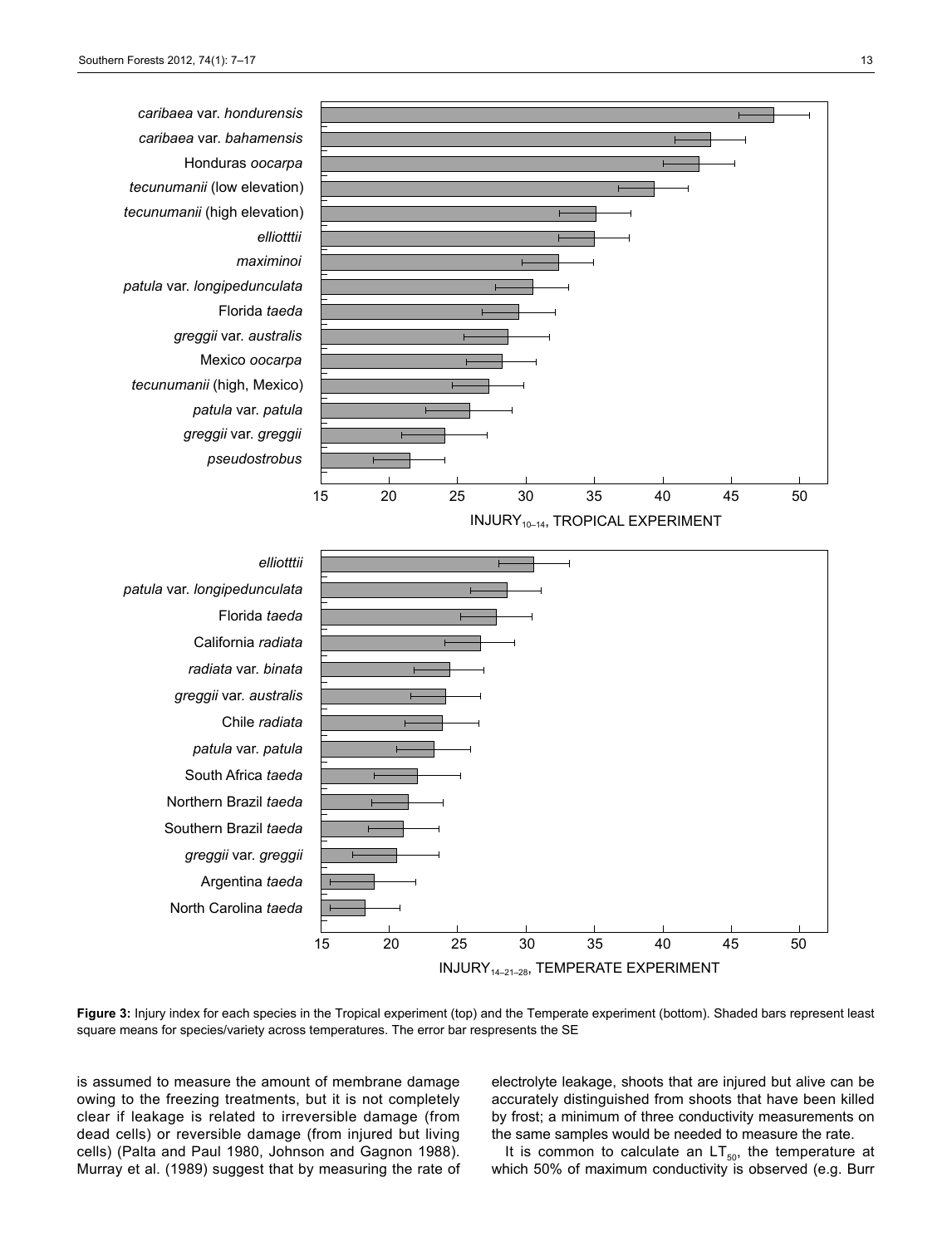

Figure 3: Injury index for each species in the Tropical experiment (top) and the Temperate experiment (bottom). Shaded bars represent least square means for species/variety across temperatures. The error bar respresents the SE

is assumed to measure the amount of membrane damage owing to the freezing treatments, but it is not completely clear if leakage is related to irreversible damage (from dead cells) or reversible damage (from injured but living cells) (Palta and Paul 1980, Johnson and Gagnon 1988). Murray et al. (1989) suggest that by measuring the rate of electrolyte leakage, shoots that are injured but alive can be accurately distinguished from shoots that have been killed by frost; a minimum of three conductivity measurements on the same samples would be needed to measure the rate.

It is common to calculate an  $LT_{50}$ , the temperature at which 50% of maximum conductivity is observed (e.g. Burr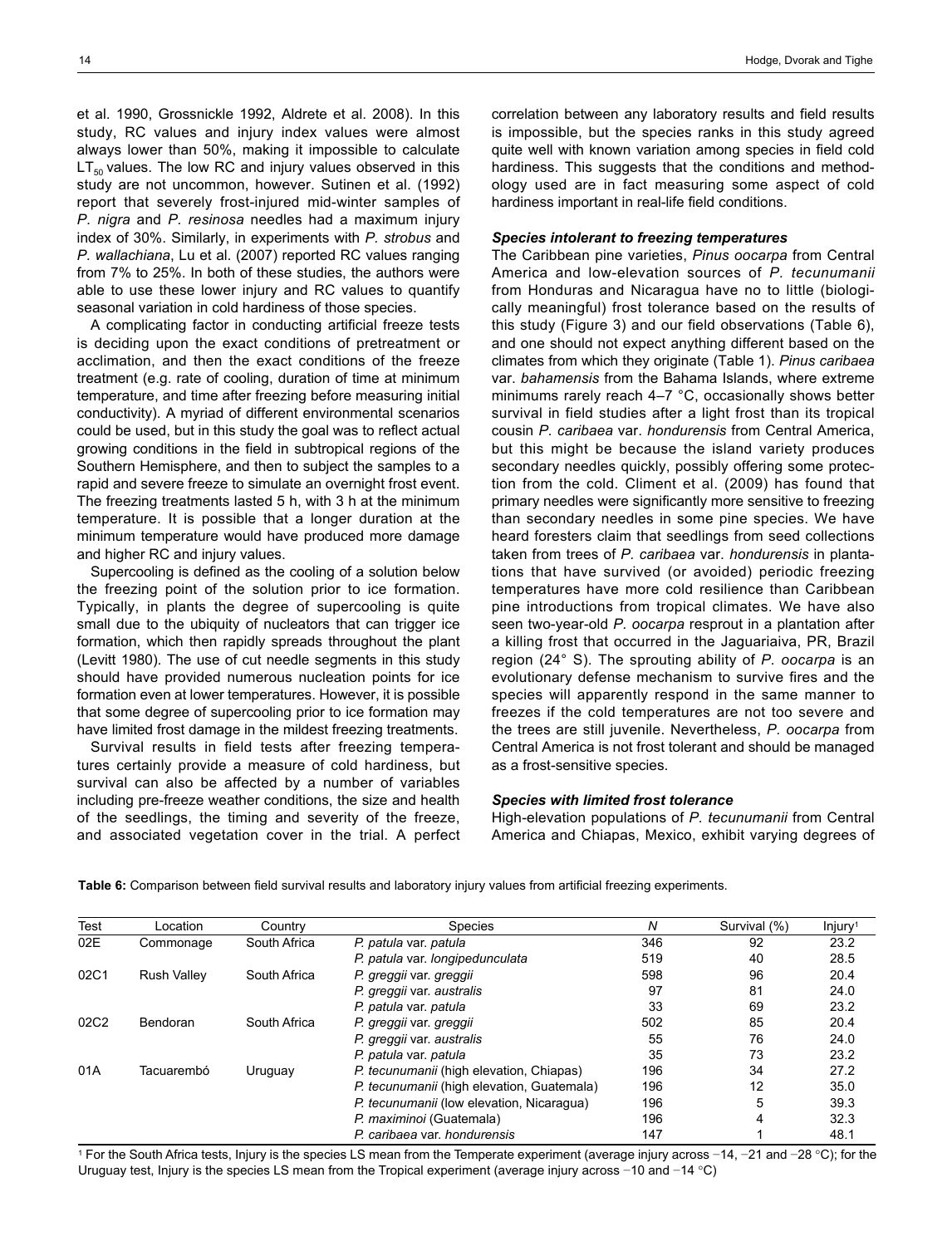et al. 1990, Grossnickle 1992, Aldrete et al. 2008). In this study, RC values and injury index values were almost always lower than 50%, making it impossible to calculate  $LT_{50}$  values. The low RC and injury values observed in this study are not uncommon, however. Sutinen et al. (1992) report that severely frost-injured mid-winter samples of *P. nigra* and *P. resinosa* needles had a maximum injury index of 30%. Similarly, in experiments with *P. strobus* and *P. wallachiana*, Lu et al. (2007) reported RC values ranging from 7% to 25%. In both of these studies, the authors were able to use these lower injury and RC values to quantify seasonal variation in cold hardiness of those species.

A complicating factor in conducting artificial freeze tests is deciding upon the exact conditions of pretreatment or acclimation, and then the exact conditions of the freeze treatment (e.g. rate of cooling, duration of time at minimum temperature, and time after freezing before measuring initial conductivity). A myriad of different environmental scenarios could be used, but in this study the goal was to reflect actual growing conditions in the field in subtropical regions of the Southern Hemisphere, and then to subject the samples to a rapid and severe freeze to simulate an overnight frost event. The freezing treatments lasted 5 h, with 3 h at the minimum temperature. It is possible that a longer duration at the minimum temperature would have produced more damage and higher RC and injury values.

Supercooling is defined as the cooling of a solution below the freezing point of the solution prior to ice formation. Typically, in plants the degree of supercooling is quite small due to the ubiquity of nucleators that can trigger ice formation, which then rapidly spreads throughout the plant (Levitt 1980). The use of cut needle segments in this study should have provided numerous nucleation points for ice formation even at lower temperatures. However, it is possible that some degree of supercooling prior to ice formation may have limited frost damage in the mildest freezing treatments.

Survival results in field tests after freezing temperatures certainly provide a measure of cold hardiness, but survival can also be affected by a number of variables including pre-freeze weather conditions, the size and health of the seedlings, the timing and severity of the freeze, and associated vegetation cover in the trial. A perfect correlation between any laboratory results and field results is impossible, but the species ranks in this study agreed quite well with known variation among species in field cold hardiness. This suggests that the conditions and methodology used are in fact measuring some aspect of cold hardiness important in real-life field conditions.

## *Species intolerant to freezing temperatures*

The Caribbean pine varieties, *Pinus oocarpa* from Central America and low-elevation sources of *P. tecunumanii* from Honduras and Nicaragua have no to little (biologically meaningful) frost tolerance based on the results of this study (Figure 3) and our field observations (Table 6), and one should not expect anything different based on the climates from which they originate (Table 1). *Pinus caribaea* var. *bahamensis* from the Bahama Islands, where extreme minimums rarely reach 4–7 °C, occasionally shows better survival in field studies after a light frost than its tropical cousin *P. caribaea* var. *hondurensis* from Central America, but this might be because the island variety produces secondary needles quickly, possibly offering some protection from the cold. Climent et al. (2009) has found that primary needles were significantly more sensitive to freezing than secondary needles in some pine species. We have heard foresters claim that seedlings from seed collections taken from trees of *P. caribaea* var. *hondurensis* in plantations that have survived (or avoided) periodic freezing temperatures have more cold resilience than Caribbean pine introductions from tropical climates. We have also seen two-year-old *P. oocarpa* resprout in a plantation after a killing frost that occurred in the Jaguariaiva, PR, Brazil region (24° S). The sprouting ability of *P. oocarpa* is an evolutionary defense mechanism to survive fires and the species will apparently respond in the same manner to freezes if the cold temperatures are not too severe and the trees are still juvenile. Nevertheless, *P. oocarpa* from Central America is not frost tolerant and should be managed as a frost-sensitive species.

## *Species with limited frost tolerance*

High-elevation populations of *P. tecunumanii* from Central America and Chiapas, Mexico, exhibit varying degrees of

| <b>Test</b> | Location           | Country      | <b>Species</b>                             | N   | Survival (%) | Injury <sup>1</sup> |
|-------------|--------------------|--------------|--------------------------------------------|-----|--------------|---------------------|
| 02E         | Commonage          | South Africa | P. patula var. patula                      | 346 | 92           | 23.2                |
|             |                    |              | P. patula var. longipedunculata            | 519 | 40           | 28.5                |
| 02C1        | <b>Rush Vallev</b> | South Africa | P greggii var. greggii                     | 598 | 96           | 20.4                |
|             |                    |              | P. greggii var. australis                  | 97  | 81           | 24.0                |
|             |                    |              | P. patula var. patula                      | 33  | 69           | 23.2                |
| 02C2        | Bendoran           | South Africa | P greggii var. greggii                     | 502 | 85           | 20.4                |
|             |                    |              | P. greggii var. australis                  | 55  | 76           | 24.0                |
|             |                    |              | P. patula var. patula                      | 35  | 73           | 23.2                |
| 01A         | Tacuarembó         | Uruguay      | P. tecunumanii (high elevation, Chiapas)   | 196 | 34           | 27.2                |
|             |                    |              | P. tecunumanii (high elevation, Guatemala) | 196 | 12           | 35.0                |
|             |                    |              | P. tecunumanii (low elevation, Nicaragua)  | 196 | 5            | 39.3                |
|             |                    |              | P. maximinoi (Guatemala)                   | 196 | 4            | 32.3                |
|             |                    |              | P. caribaea var. hondurensis               | 147 |              | 48.1                |

**Table 6:** Comparison between field survival results and laboratory injury values from artificial freezing experiments.

1 For the South Africa tests, Injury is the species LS mean from the Temperate experiment (average injury across −14, −21 and −28 °C); for the Uruguay test, Injury is the species LS mean from the Tropical experiment (average injury across −10 and −14 °C)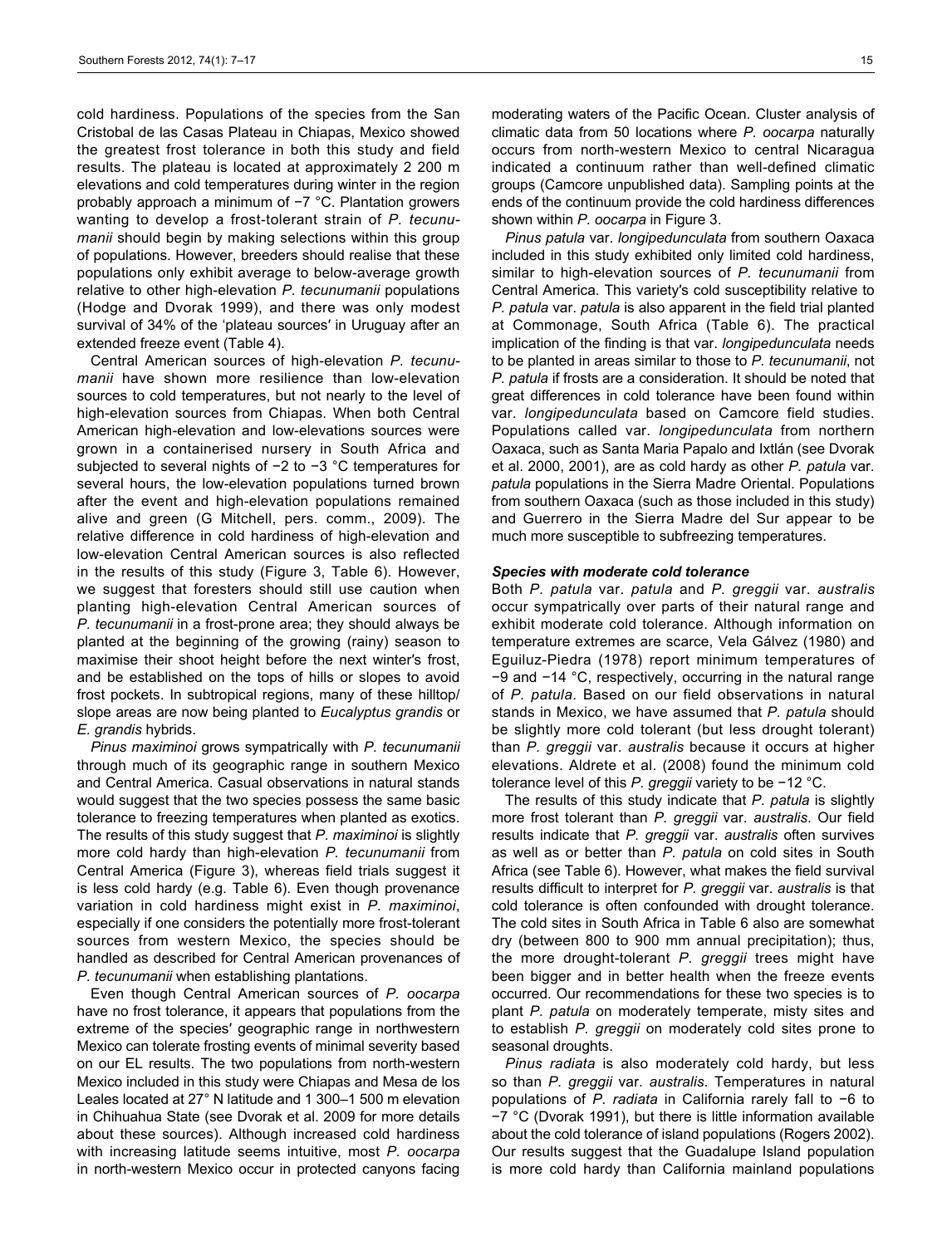cold hardiness. Populations of the species from the San Cristobal de las Casas Plateau in Chiapas, Mexico showed the greatest frost tolerance in both this study and field results. The plateau is located at approximately 2 200 m elevations and cold temperatures during winter in the region probably approach a minimum of −7 °C. Plantation growers wanting to develop a frost-tolerant strain of *P. tecunumanii* should begin by making selections within this group of populations. However, breeders should realise that these populations only exhibit average to below-average growth relative to other high-elevation *P. tecunumanii* populations (Hodge and Dvorak 1999), and there was only modest survival of 34% of the 'plateau sources′ in Uruguay after an extended freeze event (Table 4).

Central American sources of high-elevation *P. tecunumanii* have shown more resilience than low-elevation sources to cold temperatures, but not nearly to the level of high-elevation sources from Chiapas. When both Central American high-elevation and low-elevations sources were grown in a containerised nursery in South Africa and subjected to several nights of −2 to −3 °C temperatures for several hours, the low-elevation populations turned brown after the event and high-elevation populations remained alive and green (G Mitchell, pers. comm., 2009). The relative difference in cold hardiness of high-elevation and low-elevation Central American sources is also reflected in the results of this study (Figure 3, Table 6). However, we suggest that foresters should still use caution when planting high-elevation Central American sources of *P. tecunumanii* in a frost-prone area; they should always be planted at the beginning of the growing (rainy) season to maximise their shoot height before the next winter′s frost, and be established on the tops of hills or slopes to avoid frost pockets. In subtropical regions, many of these hilltop/ slope areas are now being planted to *Eucalyptus grandis* or *E. grandis* hybrids.

*Pinus maximinoi* grows sympatrically with *P. tecunumanii* through much of its geographic range in southern Mexico and Central America. Casual observations in natural stands would suggest that the two species possess the same basic tolerance to freezing temperatures when planted as exotics. The results of this study suggest that *P. maximinoi* is slightly more cold hardy than high-elevation *P. tecunumanii* from Central America (Figure 3), whereas field trials suggest it is less cold hardy (e.g. Table 6). Even though provenance variation in cold hardiness might exist in *P. maximinoi*, especially if one considers the potentially more frost-tolerant sources from western Mexico, the species should be handled as described for Central American provenances of *P. tecunumanii* when establishing plantations.

Even though Central American sources of *P. oocarpa* have no frost tolerance, it appears that populations from the extreme of the species′ geographic range in northwestern Mexico can tolerate frosting events of minimal severity based on our EL results. The two populations from north-western Mexico included in this study were Chiapas and Mesa de los Leales located at 27° N latitude and 1 300–1 500 m elevation in Chihuahua State (see Dvorak et al. 2009 for more details about these sources). Although increased cold hardiness with increasing latitude seems intuitive, most *P. oocarpa* in north-western Mexico occur in protected canyons facing moderating waters of the Pacific Ocean. Cluster analysis of climatic data from 50 locations where *P. oocarpa* naturally occurs from north-western Mexico to central Nicaragua indicated a continuum rather than well-defined climatic groups (Camcore unpublished data). Sampling points at the ends of the continuum provide the cold hardiness differences shown within *P. oocarpa* in Figure 3.

*Pinus patula* var. *longipedunculata* from southern Oaxaca included in this study exhibited only limited cold hardiness, similar to high-elevation sources of *P. tecunumanii* from Central America. This variety′s cold susceptibility relative to *P. patula* var. *patula* is also apparent in the field trial planted at Commonage, South Africa (Table 6). The practical implication of the finding is that var. *longipedunculata* needs to be planted in areas similar to those to *P. tecunumanii*, not *P. patula* if frosts are a consideration. It should be noted that great differences in cold tolerance have been found within var. *longipedunculata* based on Camcore field studies. Populations called var. *longipedunculata* from northern Oaxaca, such as Santa Maria Papalo and Ixtlán (see Dvorak et al. 2000, 2001), are as cold hardy as other *P. patula* var. *patula* populations in the Sierra Madre Oriental. Populations from southern Oaxaca (such as those included in this study) and Guerrero in the Sierra Madre del Sur appear to be much more susceptible to subfreezing temperatures.

## *Species with moderate cold tolerance*

Both *P. patula* var. *patula* and *P. greggii* var. *australis* occur sympatrically over parts of their natural range and exhibit moderate cold tolerance. Although information on temperature extremes are scarce, Vela Gálvez (1980) and Eguiluz-Piedra (1978) report minimum temperatures of −9 and −14 °C, respectively, occurring in the natural range of *P. patula*. Based on our field observations in natural stands in Mexico, we have assumed that *P. patula* should be slightly more cold tolerant (but less drought tolerant) than *P. greggii* var. *australis* because it occurs at higher elevations. Aldrete et al. (2008) found the minimum cold tolerance level of this *P. greggii* variety to be −12 °C.

The results of this study indicate that *P. patula* is slightly more frost tolerant than *P. greggii* var. *australis*. Our field results indicate that *P. greggii* var. *australis* often survives as well as or better than *P. patula* on cold sites in South Africa (see Table 6). However, what makes the field survival results difficult to interpret for *P. greggii* var. *australis* is that cold tolerance is often confounded with drought tolerance. The cold sites in South Africa in Table 6 also are somewhat dry (between 800 to 900 mm annual precipitation); thus, the more drought-tolerant *P. greggii* trees might have been bigger and in better health when the freeze events occurred. Our recommendations for these two species is to plant *P. patula* on moderately temperate, misty sites and to establish *P. greggii* on moderately cold sites prone to seasonal droughts.

*Pinus radiata* is also moderately cold hardy, but less so than *P. greggii* var. *australis*. Temperatures in natural populations of *P. radiata* in California rarely fall to −6 to −7 °C (Dvorak 1991), but there is little information available about the cold tolerance of island populations (Rogers 2002). Our results suggest that the Guadalupe Island population is more cold hardy than California mainland populations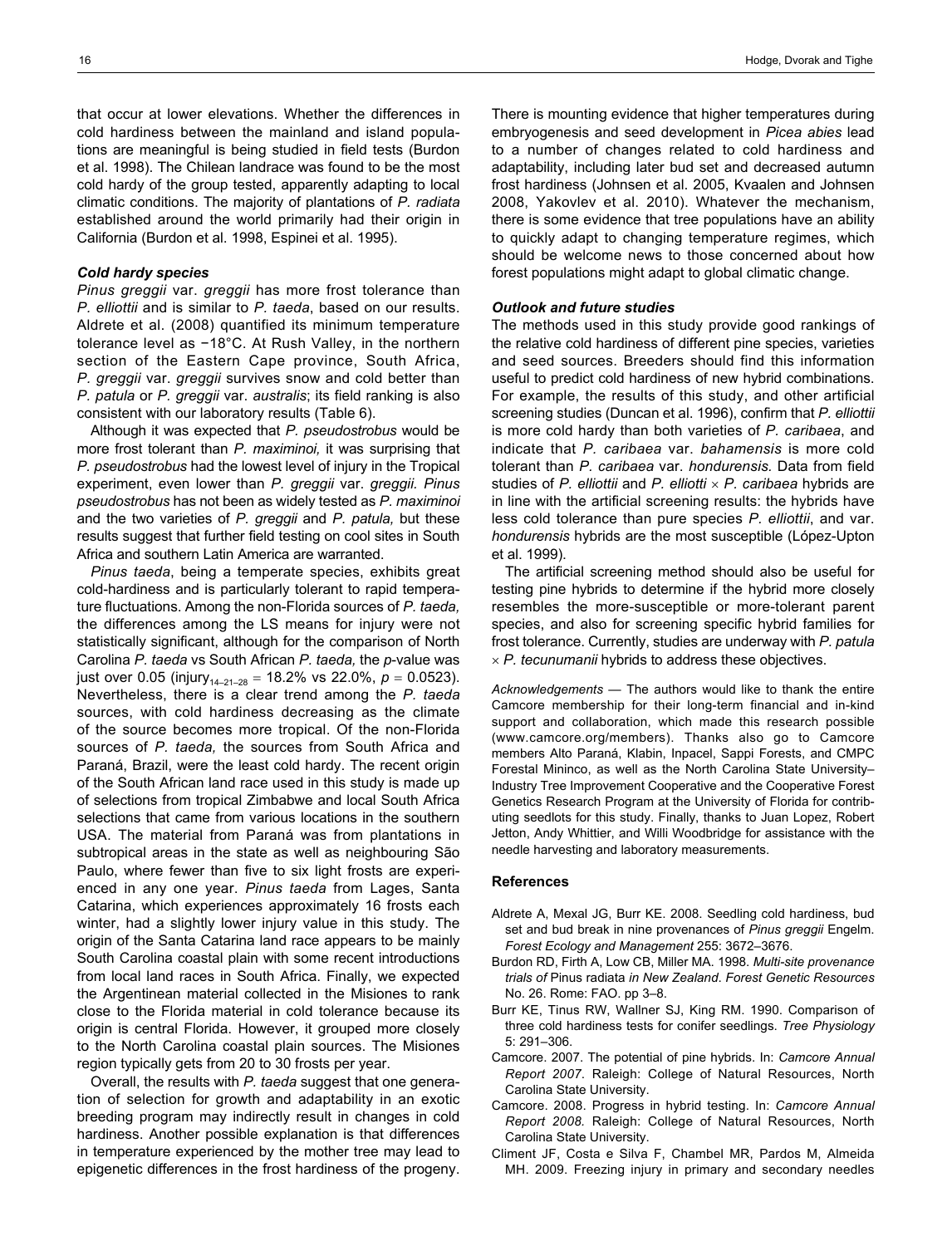that occur at lower elevations. Whether the differences in cold hardiness between the mainland and island populations are meaningful is being studied in field tests (Burdon et al. 1998). The Chilean landrace was found to be the most cold hardy of the group tested, apparently adapting to local climatic conditions. The majority of plantations of *P. radiata* established around the world primarily had their origin in California (Burdon et al. 1998, Espinei et al. 1995).

#### *Cold hardy species*

*Pinus greggii* var. *greggii* has more frost tolerance than *P. elliottii* and is similar to *P. taeda*, based on our results. Aldrete et al. (2008) quantified its minimum temperature tolerance level as −18°C. At Rush Valley, in the northern section of the Eastern Cape province, South Africa, *P. greggii* var. *greggii* survives snow and cold better than *P. patula* or *P. greggii* var. *australis*; its field ranking is also consistent with our laboratory results (Table 6).

Although it was expected that *P. pseudostrobus* would be more frost tolerant than *P. maximinoi,* it was surprising that *P. pseudostrobus* had the lowest level of injury in the Tropical experiment, even lower than *P. greggii* var. *greggii. Pinus pseudostrobus* has not been as widely tested as *P. maximinoi* and the two varieties of *P. greggii* and *P. patula,* but these results suggest that further field testing on cool sites in South Africa and southern Latin America are warranted.

*Pinus taeda*, being a temperate species, exhibits great cold-hardiness and is particularly tolerant to rapid temperature fluctuations. Among the non-Florida sources of *P. taeda,* the differences among the LS means for injury were not statistically significant, although for the comparison of North Carolina *P. taeda* vs South African *P. taeda,* the *p*-value was just over 0.05 (injury<sub>14–21–28</sub> = 18.2% vs 22.0%,  $p = 0.0523$ ). Nevertheless, there is a clear trend among the *P. taeda* sources, with cold hardiness decreasing as the climate of the source becomes more tropical. Of the non-Florida sources of *P. taeda,* the sources from South Africa and Paraná, Brazil, were the least cold hardy. The recent origin of the South African land race used in this study is made up of selections from tropical Zimbabwe and local South Africa selections that came from various locations in the southern USA. The material from Paraná was from plantations in subtropical areas in the state as well as neighbouring São Paulo, where fewer than five to six light frosts are experienced in any one year. *Pinus taeda* from Lages, Santa Catarina, which experiences approximately 16 frosts each winter, had a slightly lower injury value in this study. The origin of the Santa Catarina land race appears to be mainly South Carolina coastal plain with some recent introductions from local land races in South Africa. Finally, we expected the Argentinean material collected in the Misiones to rank close to the Florida material in cold tolerance because its origin is central Florida. However, it grouped more closely to the North Carolina coastal plain sources. The Misiones region typically gets from 20 to 30 frosts per year.

Overall, the results with *P. taeda* suggest that one generation of selection for growth and adaptability in an exotic breeding program may indirectly result in changes in cold hardiness. Another possible explanation is that differences in temperature experienced by the mother tree may lead to epigenetic differences in the frost hardiness of the progeny. There is mounting evidence that higher temperatures during embryogenesis and seed development in *Picea abies* lead to a number of changes related to cold hardiness and adaptability, including later bud set and decreased autumn frost hardiness (Johnsen et al. 2005, Kvaalen and Johnsen 2008, Yakovlev et al. 2010). Whatever the mechanism, there is some evidence that tree populations have an ability to quickly adapt to changing temperature regimes, which should be welcome news to those concerned about how forest populations might adapt to global climatic change.

#### *Outlook and future studies*

The methods used in this study provide good rankings of the relative cold hardiness of different pine species, varieties and seed sources. Breeders should find this information useful to predict cold hardiness of new hybrid combinations. For example, the results of this study, and other artificial screening studies (Duncan et al. 1996), confirm that *P. elliottii* is more cold hardy than both varieties of *P. caribaea*, and indicate that *P. caribaea* var. *bahamensis* is more cold tolerant than *P. caribaea* var. *hondurensis.* Data from field studies of *P. elliottii* and *P. elliotti* × *P. caribaea* hybrids are in line with the artificial screening results: the hybrids have less cold tolerance than pure species *P. elliottii*, and var. *hondurensis* hybrids are the most susceptible (López-Upton et al. 1999).

The artificial screening method should also be useful for testing pine hybrids to determine if the hybrid more closely resembles the more-susceptible or more-tolerant parent species, and also for screening specific hybrid families for frost tolerance. Currently, studies are underway with *P. patula*   $\times$  *P. tecunumanii* hybrids to address these objectives.

*Acknowledgements —* The authors would like to thank the entire Camcore membership for their long-term financial and in-kind support and collaboration, which made this research possible (www.camcore.org/members). Thanks also go to Camcore members Alto Paraná, Klabin, Inpacel, Sappi Forests, and CMPC Forestal Mininco, as well as the North Carolina State University– Industry Tree Improvement Cooperative and the Cooperative Forest Genetics Research Program at the University of Florida for contributing seedlots for this study. Finally, thanks to Juan Lopez, Robert Jetton, Andy Whittier, and Willi Woodbridge for assistance with the needle harvesting and laboratory measurements.

## **References**

- Aldrete A, Mexal JG, Burr KE. 2008. Seedling cold hardiness, bud set and bud break in nine provenances of *Pinus greggii* Engelm. *Forest Ecology and Management* 255: 3672–3676.
- Burdon RD, Firth A, Low CB, Miller MA. 1998. *Multi-site provenance trials of* Pinus radiata *in New Zealand*. *Forest Genetic Resources* No. 26. Rome: FAO. pp 3–8.
- Burr KE, Tinus RW, Wallner SJ, King RM. 1990. Comparison of three cold hardiness tests for conifer seedlings. *Tree Physiology* 5: 291–306.
- Camcore. 2007. The potential of pine hybrids. In: *Camcore Annual Report 2007*. Raleigh: College of Natural Resources, North Carolina State University.
- Camcore. 2008. Progress in hybrid testing. In: *Camcore Annual Report 2008.* Raleigh: College of Natural Resources, North Carolina State University.
- Climent JF, Costa e Silva F, Chambel MR, Pardos M, Almeida MH. 2009. Freezing injury in primary and secondary needles